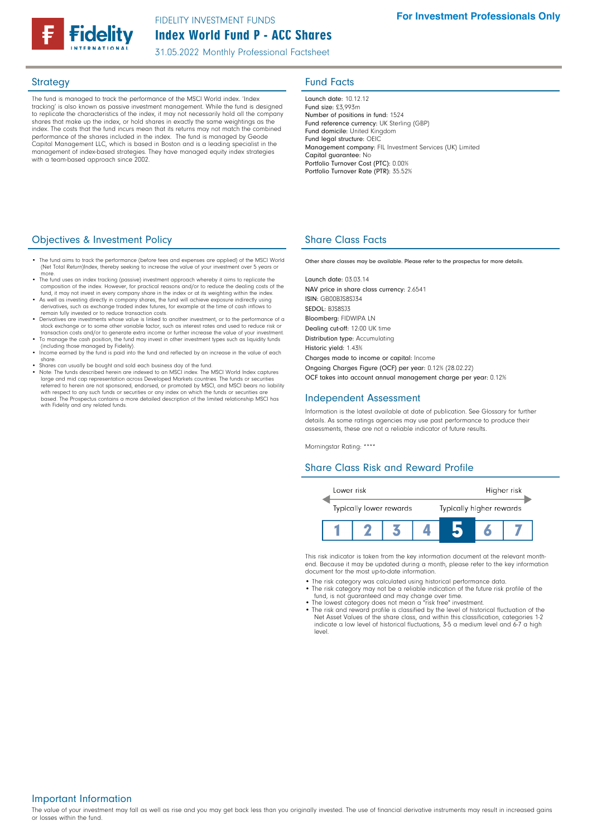

**For Investment Professionals Only**

31.05.2022 Monthly Professional Factsheet

The fund is managed to track the performance of the MSCI World index. 'Index tracking' is also known as passive investment management. While the fund is designed to replicate the characteristics of the index, it may not necessarily hold all the company shares that make up the index, or hold shares in exactly the same weightings as the index. The costs that the fund incurs mean that its returns may not match the combined performance of the shares included in the index. The fund is managed by Geode Capital Management LLC, which is based in Boston and is a leading specialist in the management of index-based strategies. They have managed equity index strategies with a team-based approach since 2002.

## Strategy **Fund Facts**

Launch date: 10.12.12 Fund size: £3,993m Number of positions in fund: 1524 Fund reference currency: UK Sterling (GBP) Fund domicile: United Kingdom Fund legal structure: OEIC Management company: FIL Investment Services (UK) Limited Capital guarantee: No Portfolio Turnover Cost (PTC): 0.00% Portfolio Turnover Rate (PTR): 35.52%

### **Objectives & Investment Policy Share Class Facts** Share Class Facts

- The fund aims to track the performance (before fees and expenses are applied) of the MSCI World (Net Total Return)Index, thereby seeking to increase the value of your investment over 5 years
- more.<br>• The fund uses an index tracking (passive) investment approach whereby it aims to replicate the<br>• composition of the index. However, for practical reasons and/or to reduce the dealing costs of the<br>• fund, it may not
- As well as investing directly in company shares, the fund will achieve exposure indirectly using derivatives, such as exchange traded index futures, for example at the time of cash inflows to remain fully invested or to reduce transaction costs.
- Derivatives are investments whose value is linked to another investment, or to the performance of a stock exchange or to some other variable factor, such as interest rates and used to reduce risk or
- transaction costs and/or to generate extra income or further increase the value of your investment.<br>• To manage the cash position, the fund may invest in other investment types such as liquidity funds<br>(including those mana
- Income earned by the fund is paid into the fund and reflected by an increase in the value of each share.
- Shares can usually be bought and sold each business day of the fund.
- Note: The funds described herein are indexed to an MSCI index. The MSCI World Index captures large and mid cap representation across Developed Markets countries. The funds or securities referred to herein are not sponsored, endorsed, or promoted by MSCI, and MSCI bears no liability<br>with respect to any such funds or securities or any index on which the funds or securities are<br>based. The Prospectus contains with Fidelity and any related funds.

Other share classes may be available. Please refer to the prospectus for more details.

Launch date: 03.03.14 NAV price in share class currency: 2.6541 ISIN: GB00BJS8SJ34 SEDOL: BJS8SJ3 Bloomberg: FIDWIPA LN Dealing cut-off: 12:00 UK time Distribution type: Accumulating Historic yield: 1.43% Charges made to income or capital: Income Ongoing Charges Figure (OCF) per year: 0.12% (28.02.22) OCF takes into account annual management charge per year: 0.12%

### Independent Assessment

Information is the latest available at date of publication. See Glossary for further details. As some ratings agencies may use past performance to produce their assessments, these are not a reliable indicator of future results.

Morningstar Rating: \*\*\*\*

## Share Class Risk and Reward Profile



This risk indicator is taken from the key information document at the relevant monthend. Because it may be updated during a month, please refer to the key information document for the most up-to-date information.

- The risk category was calculated using historical performance data.
- The risk category may not be a reliable indication of the future risk profile of the fund, is not guaranteed and may change over time.
- The lowest category does not mean a "risk free" investment.
- The risk and reward profile is classified by the level of historical fluctuation of the Net Asset Values of the share class, and within this classification, categories 1-2 indicate a low level of historical fluctuations, 3-5 a medium level and 6-7 a high level.

Important Information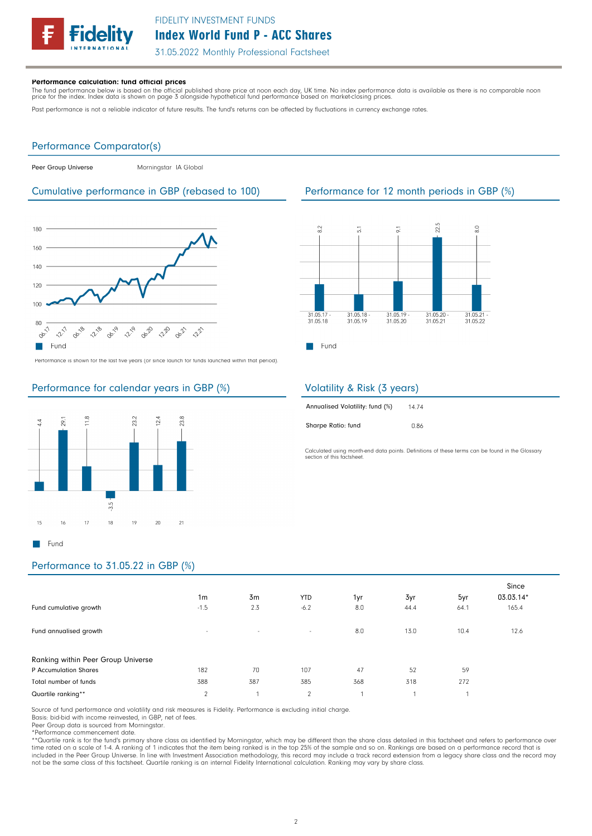

31.05.2022 Monthly Professional Factsheet

#### Performance calculation: fund official prices

The fund performance below is based on the official published share price at noon each day, UK time. No index performance data is available as there is no comparable noon<br>price for the index. Index data is shown on page 3

Past performance is not a reliable indicator of future results. The fund's returns can be affected by fluctuations in currency exchange rates.

### Performance Comparator(s)

Peer Group Universe Morningstar IA Global

#### Cumulative performance in GBP (rebased to 100) Performance for 12 month periods in GBP (%)



Performance is shown for the last five years (or since launch for funds launched within that period).

# Performance for calendar years in GBP (%)



## $2.5$  $\frac{2}{3}$  $\frac{0}{20}$  $\overline{z}$  $\overline{5}$

31.05.20



31.05.19

**Fund** 

31.05.17<br>31.05.18

Sharpe Ratio: fund

Calculated using month-end data points. Definitions of these terms can be found in the Glossary section of this factsheet

31.05.20<br>31.05.21

 $31.05.21$ <br> $31.05.22$ 

0.86

# Performance to 31.05.22 in GBP (%)

| Fund cumulative growth                                      | 1 <sub>m</sub><br>$-1.5$ | 3m<br>2.3 | <b>YTD</b><br>$-6.2$ | 1yr<br>8.0 | 3yr<br>44.4 | 5yr<br>64.1 | Since<br>03.03.14*<br>165.4 |
|-------------------------------------------------------------|--------------------------|-----------|----------------------|------------|-------------|-------------|-----------------------------|
| Fund annualised growth                                      | $\sim$                   | $\sim$    | $\sim$               | 8.0        | 13.0        | 10.4        | 12.6                        |
| Ranking within Peer Group Universe<br>P Accumulation Shares | 182                      | 70        | 107                  | 47         | 52          | 59          |                             |
| Total number of funds                                       | 388                      | 387       | 385                  | 368        | 318         | 272         |                             |
| Quartile ranking**                                          | $\mathcal{L}$            |           | $\mathcal{P}$        |            |             |             |                             |

Source of fund performance and volatility and risk measures is Fidelity. Performance is excluding initial charge.

Basis: bid-bid with income reinvested, in GBP, net of fees.

Peer Group data is sourced from Morningstar.

\*Performance commencement date.<br>\*\*Quartile rank is for the fund's primary share class as identified by Morningstar, which may be different than the share class detailed in this factsheet and refers to performance over<br>time included in the Peer Group Universe. In line with Investment Association methodology, this record may include a track record extension from a legacy share class and the record may included in the Peer Group Universe. In li not be the same class of this factsheet. Quartile ranking is an internal Fidelity International calculation. Ranking may vary by share class.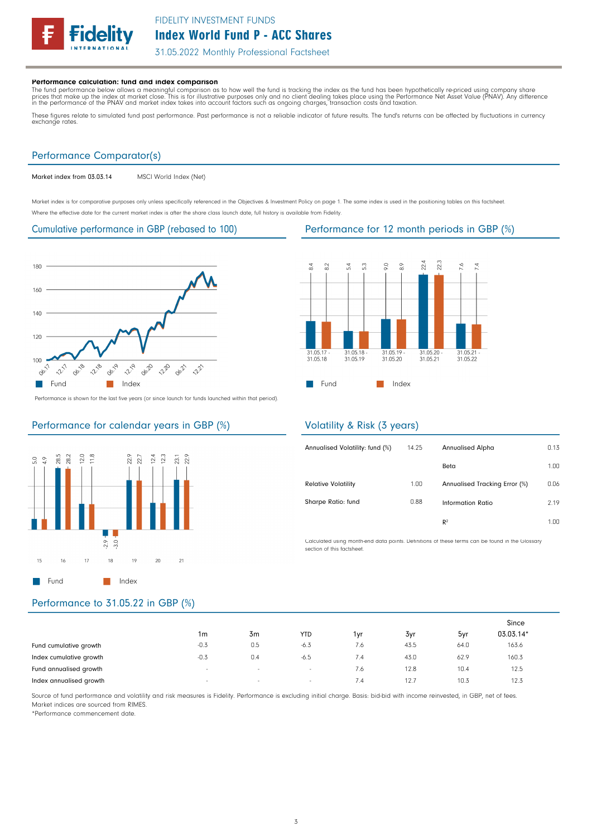

31.05.2022 Monthly Professional Factsheet

#### Performance calculation: fund and index comparison

The fund performance below allows a meaningful comparison as to how well the fund is tracking the index as the fund has been hypothetically re-priced using company share<br>prices that make up the index at market close. This

These figures relate to simulated fund past performance. Past performance is not a reliable indicator of future results. The fund's returns can be affected by fluctuations in currency exchange rates.

#### Performance Comparator(s)

Market index from 03.03.14 MSCI World Index (Net)

Market index is for comparative purposes only unless specifically referenced in the Objectives & Investment Policy on page 1. The same index is used in the positioning tables on this factsheet. Where the effective date for the current market index is after the share class launch date, full history is available from Fidelity.

#### Cumulative performance in GBP (rebased to 100) Performance for 12 month periods in GBP (%)



Performance is shown for the last five years (or since launch for funds launched within that period).

## Performance for calendar years in GBP (%)





### Volatility & Risk (3 years)

| Annualised Volatility: fund (%) | 14.25 | <b>Annualised Alpha</b>       | 0.13 |
|---------------------------------|-------|-------------------------------|------|
|                                 |       | Beta                          | 1.00 |
| <b>Relative Volatility</b>      | 1.00  | Annualised Tracking Error (%) | 0.06 |
| Sharpe Ratio: fund              | 0.88  | Information Ratio             | 2.19 |
|                                 |       | $R^2$                         | 1.00 |

Calculated using month-end data points. Definitions of these terms can be found in the Glossary section of this factsheet.

## Performance to 31.05.22 in GBP (%)

|                         |                          |        |            |      |      |      | Since     |  |
|-------------------------|--------------------------|--------|------------|------|------|------|-----------|--|
|                         | 1m                       | 3m     | <b>YTD</b> | 1vr  | 3yr  | 5yr  | 03.03.14* |  |
| Fund cumulative growth  | $-0.3$                   | 0.5    | $-6.3$     | 1.6  | 43.5 | 64.0 | 163.6     |  |
| Index cumulative growth | $-0.3$                   | 0.4    | -6.5       | 7.4  | 43.0 | 62.9 | 160.3     |  |
| Fund annualised growth  | $\sim$                   | $\sim$ | $\sim$     | 7.6  | 12.8 | 10.4 | 12.5      |  |
| Index annualised growth | $\overline{\phantom{a}}$ | $\sim$ | $\sim$     | . .4 | 12.7 | 10.3 | 12.3      |  |

Source of fund performance and volatility and risk measures is Fidelity. Performance is excluding initial charge. Basis: bid-bid with income reinvested, in GBP, net of fees. Market indices are sourced from RIMES.

\*Performance commencement date.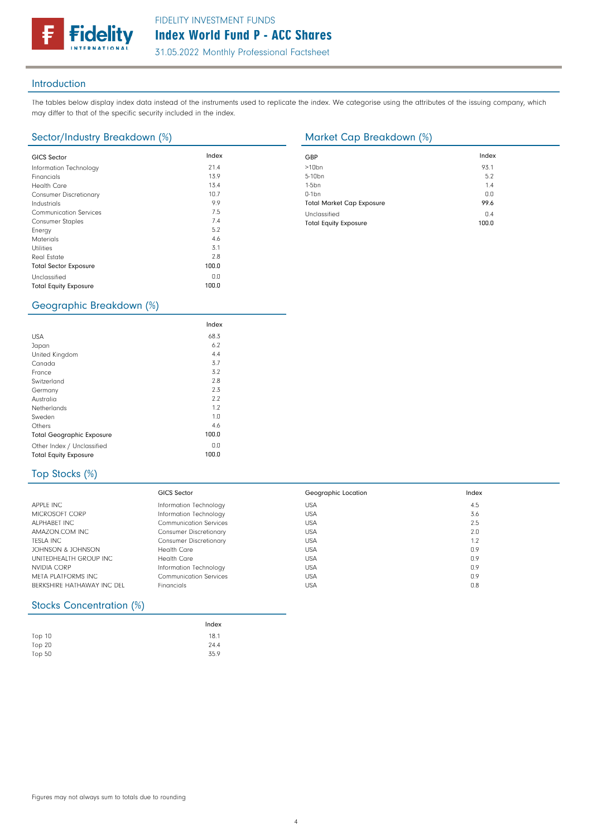31.05.2022 Monthly Professional Factsheet

#### Introduction

The tables below display index data instead of the instruments used to replicate the index. We categorise using the attributes of the issuing company, which may differ to that of the specific security included in the index.

## Sector/Industry Breakdown (%) Market Cap Breakdown (%)

delitv

| <b>GICS Sector</b>            | Index | GBP              |
|-------------------------------|-------|------------------|
|                               |       |                  |
| Information Technology        | 21.4  | >10 <sub>k</sub> |
| Financials                    | 13.9  | $5 - 10$         |
| <b>Health Care</b>            | 13.4  | $1-5b$           |
| <b>Consumer Discretionary</b> | 10.7  | $0-1b$           |
| Industrials                   | 9.9   | Tota             |
| <b>Communication Services</b> | 7.5   | Uncl             |
| <b>Consumer Staples</b>       | 7.4   | Tota             |
| Energy                        | 5.2   |                  |
| <b>Materials</b>              | 4.6   |                  |
| <b>Utilities</b>              | 3.1   |                  |
| Real Estate                   | 2.8   |                  |
| <b>Total Sector Exposure</b>  | 100.0 |                  |
| Unclassified                  | 0.0   |                  |
| <b>Total Equity Exposure</b>  | 100.0 |                  |
|                               |       |                  |

| GBP                              | Index |
|----------------------------------|-------|
| $>10$ bn                         | 93.1  |
| 5-10 <sub>bn</sub>               | 5.2   |
| $1-5bn$                          | 1.4   |
| $0-1$ bn                         | 0.0   |
| <b>Total Market Cap Exposure</b> | 99.6  |
| Unclassified                     | 0.4   |
| <b>Total Equity Exposure</b>     | 100.0 |

## Geographic Breakdown (%)

|                                  | Index |  |
|----------------------------------|-------|--|
| <b>USA</b>                       | 68.3  |  |
| Japan                            | 6.2   |  |
| United Kingdom                   | 4.4   |  |
| Canada                           | 3.7   |  |
| France                           | 3.2   |  |
| Switzerland                      | 2.8   |  |
| Germany                          | 2.3   |  |
| Australia                        | 2.2   |  |
| Netherlands                      | 1.2   |  |
| Sweden                           | 1.0   |  |
| Others                           | 4.6   |  |
| <b>Total Geographic Exposure</b> | 100.0 |  |
| Other Index / Unclassified       | 0.0   |  |
| <b>Total Equity Exposure</b>     | 100.0 |  |

# Top Stocks (%)

|                            | GICS Sector                   | Geographic Location | Index |
|----------------------------|-------------------------------|---------------------|-------|
| APPLE INC                  | Information Technology        | <b>USA</b>          | 4.5   |
| MICROSOFT CORP             | Information Technology        | <b>USA</b>          | 3.6   |
| ALPHABET INC               | <b>Communication Services</b> | <b>USA</b>          | 2.5   |
| AMAZON.COM INC             | <b>Consumer Discretionary</b> | <b>USA</b>          | 2.0   |
| TESLA INC                  | <b>Consumer Discretionary</b> | <b>USA</b>          | 1.2   |
| JOHNSON & JOHNSON          | Health Care                   | <b>USA</b>          | 0.9   |
| UNITEDHEALTH GROUP INC.    | Health Care                   | <b>USA</b>          | 0.9   |
| NVIDIA CORP                | Information Technology        | <b>USA</b>          | 0.9   |
| META PLATFORMS INC         | <b>Communication Services</b> | <b>USA</b>          | 0.9   |
| BERKSHIRE HATHAWAY INC DEL | Financials                    | <b>USA</b>          | 0.8   |

### Stocks Concentration (%)

|        | Index |
|--------|-------|
| Top 10 | 18.1  |
| Top 20 | 24.4  |
| Top 50 | 35.9  |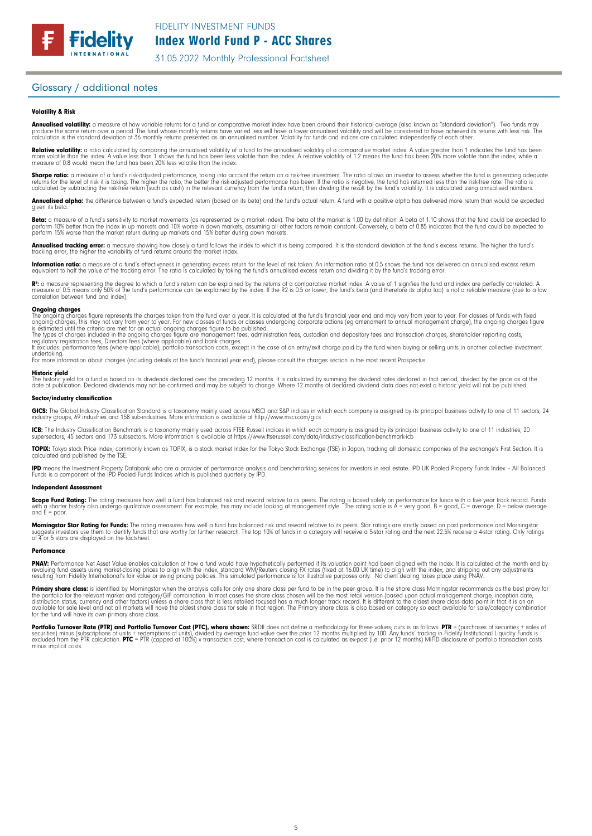

31.05.2022 Monthly Professional Factsheet

#### Glossary / additional notes

#### Volatility & Risk

**Annualised volatility:** a measure of how variable returns for a fund or comparative market index have been around their historical average (also known as "standard deviation"). Two funds may<br>produce the same return over a calculation is the standard deviation of 36 monthly returns presented as an annualised number. Volatility for funds and indices are calculated independently of each other

**Relative volatility:** a ratio calculated by comparing the annualised volatility of a fund to the annualised volatility of a comparative market index. A value greater than 1 indicates the fund has been<br>more volatile than t measure of 0.8 would mean the fund has been 20% less volatile than the index.

**Sharpe ratio:** a measure of a fund's risk-adjusted performance, taking into account the return on a risk-free investment. The ratio allows an investor to assess whether the fund is generating adequate the tund is generati

Annualised alpha: the difference between a fund's expected return (based on its beta) and the fund's actual return. A fund with a positive alpha has delivered more return than would be expected given its beta

**Beta:** a measure of a fund's sensitivity to market movements (as represented by a market index). The beta of the market is 1.00 by definition. A beta of 1.10 shows that the fund could be expected to<br>perform 10% better tha perform 15% worse than the market return during up markets and 15% better during down markets.

**Annualised tracking error:** a measure showing how closely a tund tollows the index to which it is being compared. It is the standard deviation of the fund's excess returns. The higher the fund's<br>tracking error, the higher

**Information ratio:** a measure ot a tund's eftectiveness in generating excess return for the level of risk taken. An information ratio of U.5 shows the fund has delivered an annualised excess return<br>equivalent to half the

Rº: a measure representing the degree to which a fund's return can be explained by the returns of a comparative market index. A value of 1 signifies the fund and index are perfectly correlated. A<br>measure of 0.5 means only correlation between fund and index).

**Ongoing charges** figure represents the charges taken from the fund over a year. It is calculated at the fund's financial year end and may vary from year to year. For classes of funds with fixed ongoing charges figure repr

For more information about charges (including details of the fund's financial year end), please consult the charges section in the most recent Prospectus.

**Historic yield**<br>The historic yield for a fund is based on its dividends declared over the preceding 12 months. It is calculated by summing the dividend rates declared in that period, divided by the price as at the date of publication. Declared dividends may not be confirmed and may be subject to change. Where 12 months of declared dividend data does not exist a historic yield will not be published.

#### Sector/industry classification

GICS: The Global Industry Classification Standard is a taxonomy mainly used across MSCI and S&P indices in which each company is assigned by its principal business activity to one of 11 sectors, 24 industry groups, 69 industries and 158 sub-industries. More information is available at http://www.msci.com/gics

**ICB:** The Industry Classitication Benchmark is a taxonomy mainly used across FTSE Russell indices in which each company is assigned by its principal business activity to one of 11 industries, 20<br>supersectors, 45 sectors a

TOPIX: Tokyo stock Price Index, commonly known as TOPIX, is a stock market index for the Tokyo Stock Exchange (TSE) in Japan, tracking all domestic companies of the exchange's First Section. It is calculated and published by the TSE.

**IPD** means the Investment Property Databank who are a provider of performance analysis and benchmarking services for investors in real estate. IPD UK Pooled Property Funds Index - All Balanced<br>Funds is a component of the

#### Independent Assessment

**Scope Fund Rating:** The rating measures how well a fund has balanced risk and reward relative to its peers. The rating is based solely on performance for funds with a five year track record. Funds<br>with a shorter history a  $and E = poor$ 

**Morningstar Star Rating for Funds:** The rating measures how well a tund has balanced risk and reward relative to its peers. Star ratings are strictly based on past performance and Morningstar<br>suggests investors use them t

#### **Perfomance**

**PNAV:** Performance Net Asset Value enables calculation of how a fund would have hypothetically performed if its valuation point had been aligned with the index. It is calculated at the month end by<br>revaluing from Fidelity

Primary share class: is identified by Morningstar when the analysis calls for only one share class per fund to be in the peer group. It is the share class Morningstar recommends as the best proxy for the portfolio for the relevant market and category/GIF combination. In most cases the share class chosen will be the most retail version (based upon actual management charge, inception date,<br>distribution status, currency a

Portfolio Turnover Rate (PTR) and Portfolio Turnover Cost (PTC), where shown: SRDII does not define a methodology for these values; ours is as follows: PTR = (purchases of securities + sales of<br>securities) minus (subscript minus implicit costs.